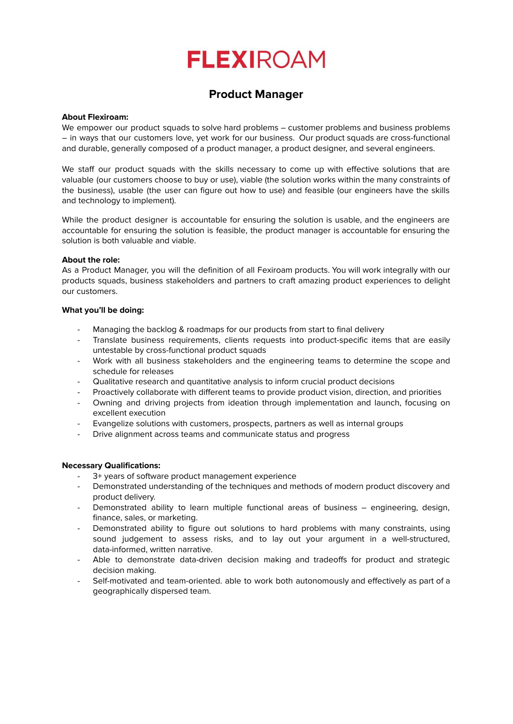# **FLEXIROAM**

## **Product Manager**

### **About Flexiroam:**

We empower our product squads to solve hard problems – customer problems and business problems – in ways that our customers love, yet work for our business. Our product squads are cross-functional and durable, generally composed of a product manager, a product designer, and several engineers.

We staff our product squads with the skills necessary to come up with effective solutions that are valuable (our customers choose to buy or use), viable (the solution works within the many constraints of the business), usable (the user can figure out how to use) and feasible (our engineers have the skills and technology to implement).

While the product designer is accountable for ensuring the solution is usable, and the engineers are accountable for ensuring the solution is feasible, the product manager is accountable for ensuring the solution is both valuable and viable.

### **About the role:**

As a Product Manager, you will the definition of all Fexiroam products. You will work integrally with our products squads, business stakeholders and partners to craft amazing product experiences to delight our customers.

#### **What you'll be doing:**

- Managing the backlog & roadmaps for our products from start to final delivery
- Translate business requirements, clients requests into product-specific items that are easily untestable by cross-functional product squads
- Work with all business stakeholders and the engineering teams to determine the scope and schedule for releases
- Qualitative research and quantitative analysis to inform crucial product decisions
- Proactively collaborate with different teams to provide product vision, direction, and priorities
- Owning and driving projects from ideation through implementation and launch, focusing on excellent execution
- Evangelize solutions with customers, prospects, partners as well as internal groups
- Drive alignment across teams and communicate status and progress

### **Necessary Qualifications:**

- 3+ years of software product management experience
- Demonstrated understanding of the techniques and methods of modern product discovery and product delivery.
- Demonstrated ability to learn multiple functional areas of business engineering, design, finance, sales, or marketing.
- Demonstrated ability to figure out solutions to hard problems with many constraints, using sound judgement to assess risks, and to lay out your argument in a well-structured, data-informed, written narrative.
- Able to demonstrate data-driven decision making and tradeoffs for product and strategic decision making.
- Self-motivated and team-oriented, able to work both autonomously and effectively as part of a geographically dispersed team.